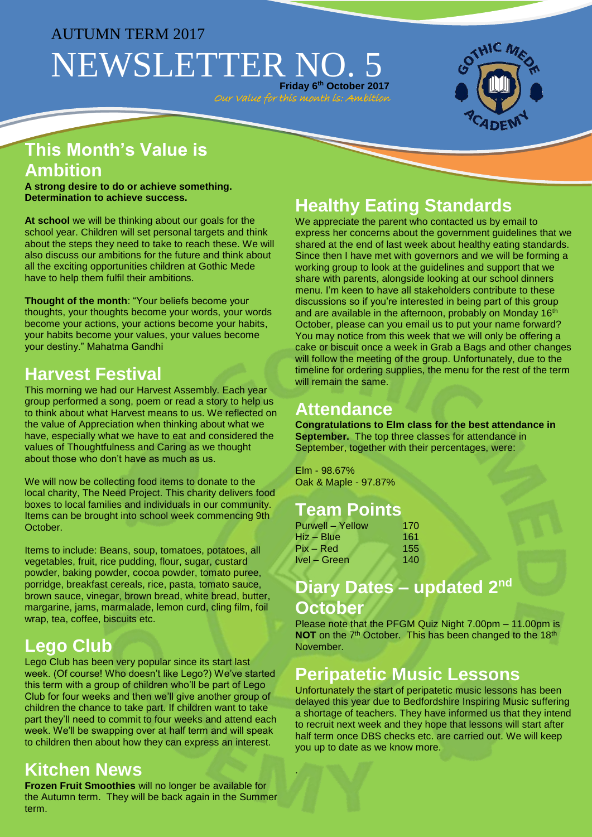# AUTUMN TERM 2017 NEWSLETTER NO. 5 **Friday 6 th October 2017**

Our Value for this month is: Ambition



## **This Month's Value is Ambition**

**A strong desire to do or achieve something. Determination to achieve success.**

**At school** we will be thinking about our goals for the school year. Children will set personal targets and think about the steps they need to take to reach these. We will also discuss our ambitions for the future and think about all the exciting opportunities children at Gothic Mede have to help them fulfil their ambitions.

**Thought of the month**: "Your beliefs become your thoughts, your thoughts become your words, your words become your actions, your actions become your habits, your habits become your values, your values become your destiny." Mahatma Gandhi

# **Harvest Festival**

This morning we had our Harvest Assembly. Each year group performed a song, poem or read a story to help us to think about what Harvest means to us. We reflected on the value of Appreciation when thinking about what we have, especially what we have to eat and considered the values of Thoughtfulness and Caring as we thought about those who don't have as much as us.

We will now be collecting food items to donate to the local charity, The Need Project. This charity delivers food boxes to local families and individuals in our community. Items can be brought into school week commencing 9th October.

Items to include: Beans, soup, tomatoes, potatoes, all vegetables, fruit, rice pudding, flour, sugar, custard powder, baking powder, cocoa powder, tomato puree, porridge, breakfast cereals, rice, pasta, tomato sauce, brown sauce, vinegar, brown bread, white bread, butter, margarine, jams, marmalade, lemon curd, cling film, foil wrap, tea, coffee, biscuits etc.

# **Lego Club**

Lego Club has been very popular since its start last week. (Of course! Who doesn't like Lego?) We've started this term with a group of children who'll be part of Lego Club for four weeks and then we'll give another group of children the chance to take part. If children want to take part they'll need to commit to four weeks and attend each week. We'll be swapping over at half term and will speak to children then about how they can express an interest.

## **Kitchen News**

**Frozen Fruit Smoothies** will no longer be available for the Autumn term. They will be back again in the Summer term.

# **Healthy Eating Standards**

We appreciate the parent who contacted us by email to express her concerns about the government guidelines that we shared at the end of last week about healthy eating standards. Since then I have met with governors and we will be forming a working group to look at the guidelines and support that we share with parents, alongside looking at our school dinners menu. I'm keen to have all stakeholders contribute to these discussions so if you're interested in being part of this group and are available in the afternoon, probably on Monday 16<sup>th</sup> October, please can you email us to put your name forward? You may notice from this week that we will only be offering a cake or biscuit once a week in Grab a Bags and other changes will follow the meeting of the group. Unfortunately, due to the timeline for ordering supplies, the menu for the rest of the term will remain the same.

## **Attendance**

**Congratulations to Elm class for the best attendance in September.** The top three classes for attendance in September, together with their percentages, were:

Elm - 98.67% Oak & Maple - 97.87%

.

### **Team Points**

| Purwell – Yellow | 170 |
|------------------|-----|
| Hiz – Blue       | 161 |
| $Pix - Red$      | 155 |
| Ivel - Green     | 140 |

## **Diary Dates – updated 2nd October**

Please note that the PFGM Quiz Night 7.00pm – 11.00pm is **NOT** on the 7<sup>th</sup> October. This has been changed to the 18<sup>th</sup> November.

### **Peripatetic Music Lessons**

Unfortunately the start of peripatetic music lessons has been delayed this year due to Bedfordshire Inspiring Music suffering a shortage of teachers. They have informed us that they intend to recruit next week and they hope that lessons will start after half term once DBS checks etc. are carried out. We will keep you up to date as we know more.